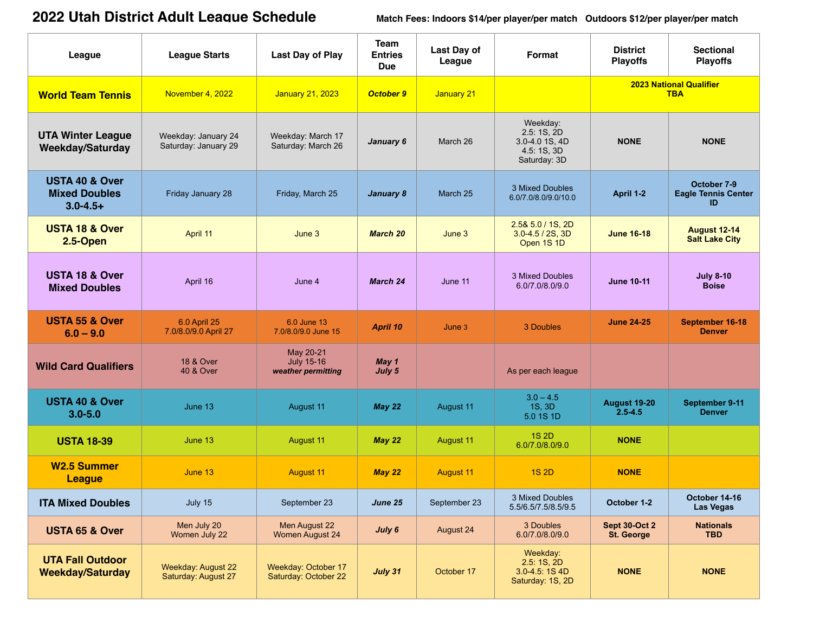## **2022 Utah District Adult League Schedule**

**2022 Utah District Adult League Schedule Match Fees: Indoors \$14/per player/per match Outdoors \$12/per player/per match**

| League                                                             | <b>League Starts</b>                             | <b>Last Day of Play</b>                              | Team<br><b>Entries</b><br><b>Due</b> | Last Day of<br>League | Format                                                                 | <b>District</b><br><b>Playoffs</b>           | <b>Sectional</b><br><b>Playoffs</b>             |
|--------------------------------------------------------------------|--------------------------------------------------|------------------------------------------------------|--------------------------------------|-----------------------|------------------------------------------------------------------------|----------------------------------------------|-------------------------------------------------|
| <b>World Team Tennis</b>                                           | November 4, 2022                                 | <b>January 21, 2023</b>                              | <b>October 9</b>                     | January 21            |                                                                        | <b>2023 National Qualifier</b><br><b>TBA</b> |                                                 |
| <b>UTA Winter League</b><br><b>Weekday/Saturday</b>                | Weekday: January 24<br>Saturday: January 29      | Weekday: March 17<br>Saturday: March 26              | January 6                            | March 26              | Weekday:<br>2.5:1S,2D<br>3.0-4.0 1S, 4D<br>4.5: 1S, 3D<br>Saturday: 3D | <b>NONE</b>                                  | <b>NONE</b>                                     |
| <b>USTA 40 &amp; Over</b><br><b>Mixed Doubles</b><br>$3.0 - 4.5 +$ | Friday January 28                                | Friday, March 25                                     | January 8                            | March 25              | 3 Mixed Doubles<br>6.0/7.0/8.0/9.0/10.0                                | April 1-2                                    | October 7-9<br><b>Eagle Tennis Center</b><br>ID |
| <b>USTA 18 &amp; Over</b><br>2.5-Open                              | April 11                                         | June 3                                               | <b>March 20</b>                      | June 3                | $2.58$ 5.0 / 1S, 2D<br>$3.0 - 4.5 / 2S$ , 3D<br>Open 1S 1D             | <b>June 16-18</b>                            | <b>August 12-14</b><br><b>Salt Lake City</b>    |
| <b>USTA 18 &amp; Over</b><br><b>Mixed Doubles</b>                  | April 16                                         | June 4                                               | March 24                             | June 11               | 3 Mixed Doubles<br>6.0/7.0/8.0/9.0                                     | <b>June 10-11</b>                            | <b>July 8-10</b><br><b>Boise</b>                |
| <b>USTA 55 &amp; Over</b><br>$6.0 - 9.0$                           | 6.0 April 25<br>7.0/8.0/9.0 April 27             | 6.0 June 13<br>7.0/8.0/9.0 June 15                   | April 10                             | June 3                | 3 Doubles                                                              | <b>June 24-25</b>                            | September 16-18<br><b>Denver</b>                |
| <b>Wild Card Qualifiers</b>                                        | <b>18 &amp; Over</b><br><b>40 &amp; Over</b>     | May 20-21<br><b>July 15-16</b><br>weather permitting | May 1<br>July 5                      |                       | As per each league                                                     |                                              |                                                 |
| <b>USTA 40 &amp; Over</b><br>$3.0 - 5.0$                           | June 13                                          | August 11                                            | May 22                               | August 11             | $3.0 - 4.5$<br>1S, 3D<br>5.0 1S 1D                                     | <b>August 19-20</b><br>$2.5 - 4.5$           | September 9-11<br><b>Denver</b>                 |
| <b>USTA 18-39</b>                                                  | June 13                                          | <b>August 11</b>                                     | May 22                               | August 11             | <b>1S 2D</b><br>6.0/7.0/8.0/9.0                                        | <b>NONE</b>                                  |                                                 |
| <b>W2.5 Summer</b><br><b>League</b>                                | June 13                                          | <b>August 11</b>                                     | May <sub>22</sub>                    | <b>August 11</b>      | <b>1S 2D</b>                                                           | <b>NONE</b>                                  |                                                 |
| <b>ITA Mixed Doubles</b>                                           | July 15                                          | September 23                                         | June 25                              | September 23          | 3 Mixed Doubles<br>5.5/6.5/7.5/8.5/9.5                                 | October 1-2                                  | October 14-16<br><b>Las Vegas</b>               |
| <b>USTA 65 &amp; Over</b>                                          | Men July 20<br>Women July 22                     | Men August 22<br><b>Women August 24</b>              | July 6                               | August 24             | 3 Doubles<br>6.0/7.0/8.0/9.0                                           | <b>Sept 30-Oct 2</b><br><b>St. George</b>    | <b>Nationals</b><br><b>TBD</b>                  |
| <b>UTA Fall Outdoor</b><br><b>Weekday/Saturday</b>                 | <b>Weekday: August 22</b><br>Saturday: August 27 | Weekday: October 17<br>Saturday: October 22          | July 31                              | October 17            | Weekday:<br>2.5:1S,2D<br>3.0-4.5: 1S 4D<br>Saturday: 1S, 2D            | <b>NONE</b>                                  | <b>NONE</b>                                     |